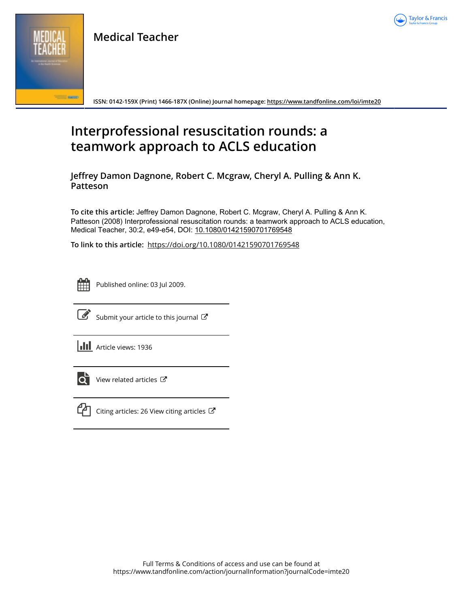

**Medical Teacher**



**ISSN: 0142-159X (Print) 1466-187X (Online) Journal homepage:<https://www.tandfonline.com/loi/imte20>**

# **Interprofessional resuscitation rounds: a teamwork approach to ACLS education**

**Jeffrey Damon Dagnone, Robert C. Mcgraw, Cheryl A. Pulling & Ann K. Patteson**

**To cite this article:** Jeffrey Damon Dagnone, Robert C. Mcgraw, Cheryl A. Pulling & Ann K. Patteson (2008) Interprofessional resuscitation rounds: a teamwork approach to ACLS education, Medical Teacher, 30:2, e49-e54, DOI: [10.1080/01421590701769548](https://www.tandfonline.com/action/showCitFormats?doi=10.1080/01421590701769548)

**To link to this article:** <https://doi.org/10.1080/01421590701769548>

| ۰ | and the state of the state of the state of the state of the state of the state of the state of the state of th | _ |  |
|---|----------------------------------------------------------------------------------------------------------------|---|--|
|   |                                                                                                                |   |  |
|   |                                                                                                                |   |  |
|   |                                                                                                                |   |  |

Published online: 03 Jul 2009.



 $\overline{\mathscr{L}}$  [Submit your article to this journal](https://www.tandfonline.com/action/authorSubmission?journalCode=imte20&show=instructions)  $\mathscr{L}$ 

**III** Article views: 1936



[View related articles](https://www.tandfonline.com/doi/mlt/10.1080/01421590701769548)  $\mathbb{Z}$ 



 $\Box$  [Citing articles: 26 View citing articles](https://www.tandfonline.com/doi/citedby/10.1080/01421590701769548#tabModule)  $\Box$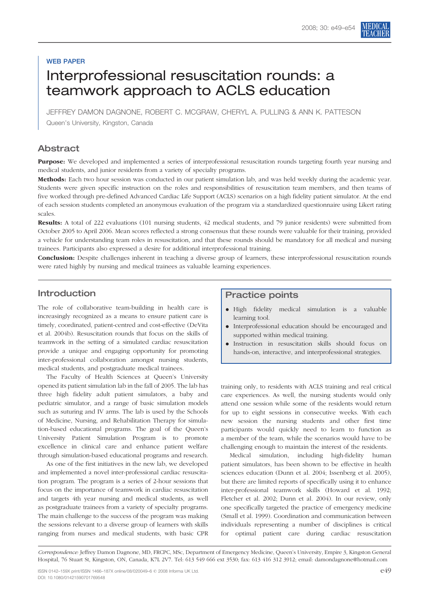## WEB PAPER Interprofessional resuscitation rounds: a teamwork approach to ACLS education

JEFFREY DAMON DAGNONE, ROBERT C. MCGRAW, CHERYL A. PULLING & ANN K. PATTESON Queen's University, Kingston, Canada

## Abstract

Purpose: We developed and implemented a series of interprofessional resuscitation rounds targeting fourth year nursing and medical students, and junior residents from a variety of specialty programs.

Methods: Each two hour session was conducted in our patient simulation lab, and was held weekly during the academic year. Students were given specific instruction on the roles and responsibilities of resuscitation team members, and then teams of five worked through pre-defined Advanced Cardiac Life Support (ACLS) scenarios on a high fidelity patient simulator. At the end of each session students completed an anonymous evaluation of the program via a standardized questionnaire using Likert rating scales.

Results: A total of 222 evaluations (101 nursing students, 42 medical students, and 79 junior residents) were submitted from October 2005 to April 2006. Mean scores reflected a strong consensus that these rounds were valuable for their training, provided a vehicle for understanding team roles in resuscitation, and that these rounds should be mandatory for all medical and nursing trainees. Participants also expressed a desire for additional interprofessional training.

Conclusion: Despite challenges inherent in teaching a diverse group of learners, these interprofessional resuscitation rounds were rated highly by nursing and medical trainees as valuable learning experiences.

## Introduction

The role of collaborative team-building in health care is increasingly recognized as a means to ensure patient care is timely, coordinated, patient-centred and cost-effective (DeVita et al. 2004b). Resuscitation rounds that focus on the skills of teamwork in the setting of a simulated cardiac resuscitation provide a unique and engaging opportunity for promoting inter-professional collaboration amongst nursing students, medical students, and postgraduate medical trainees.

The Faculty of Health Sciences at Queen's University opened its patient simulation lab in the fall of 2005. The lab has three high fidelity adult patient simulators, a baby and pediatric simulator, and a range of basic simulation models such as suturing and IV arms. The lab is used by the Schools of Medicine, Nursing, and Rehabilitation Therapy for simulation-based educational programs. The goal of the Queen's University Patient Simulation Program is to promote excellence in clinical care and enhance patient welfare through simulation-based educational programs and research.

As one of the first initiatives in the new lab, we developed and implemented a novel inter-professional cardiac resuscitation program. The program is a series of 2-hour sessions that focus on the importance of teamwork in cardiac resuscitation and targets 4th year nursing and medical students, as well as postgraduate trainees from a variety of specialty programs. The main challenge to the success of the program was making the sessions relevant to a diverse group of learners with skills ranging from nurses and medical students, with basic CPR

## Practice points

- . High fidelity medical simulation is a valuable learning tool.
- . Interprofessional education should be encouraged and supported within medical training.
- . Instruction in resuscitation skills should focus on hands-on, interactive, and interprofessional strategies.

training only, to residents with ACLS training and real critical care experiences. As well, the nursing students would only attend one session while some of the residents would return for up to eight sessions in consecutive weeks. With each new session the nursing students and other first time participants would quickly need to learn to function as a member of the team, while the scenarios would have to be challenging enough to maintain the interest of the residents.

Medical simulation, including high-fidelity human patient simulators, has been shown to be effective in health sciences education (Dunn et al. 2004; Issenberg et al. 2005), but there are limited reports of specifically using it to enhance inter-professional teamwork skills (Howard et al. 1992; Fletcher et al. 2002; Dunn et al. 2004). In our review, only one specifically targeted the practice of emergency medicine (Small et al. 1999). Coordination and communication between individuals representing a number of disciplines is critical for optimal patient care during cardiac resuscitation

Correspondence: Jeffrey Damon Dagnone, MD, FRCPC, MSc, Department of Emergency Medicine, Queen's University, Empire 3, Kingston General Hospital, 76 Stuart St, Kingston, ON, Canada, K7L 2V7. Tel: 613 549 666 ext 3530; fax: 613 416 312 3912; email: damondagnone@hotmail.com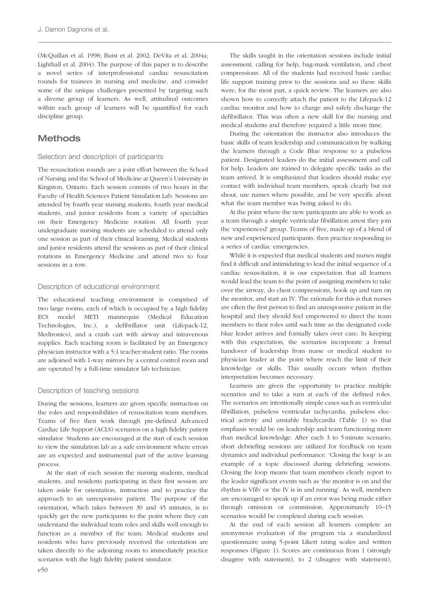(McQuillan et al. 1998; Buist et al. 2002; DeVita et al. 2004a; Lighthall et al. 2004). The purpose of this paper is to describe a novel series of interprofessional cardiac resuscitation rounds for trainees in nursing and medicine, and consider some of the unique challenges presented by targeting such a diverse group of learners. As well, attitudinal outcomes within each group of learners will be quantified for each discipline group.

## Methods

#### Selection and description of participants

The resuscitation rounds are a joint effort between the School of Nursing and the School of Medicine at Queen's University in Kingston, Ontario. Each session consists of two hours in the Faculty of Health Sciences Patient Simulation Lab. Sessions are attended by fourth year nursing students, fourth year medical students, and junior residents from a variety of specialties on their Emergency Medicine rotation. All fourth year undergraduate nursing students are scheduled to attend only one session as part of their clinical learning. Medical students and junior residents attend the sessions as part of their clinical rotations in Emergency Medicine and attend two to four sessions in a row.

#### Description of educational environment

The educational teaching environment is comprised of two large rooms, each of which is occupied by a high fidelity ECS model METI mannequin (Medical Education Technologies, Inc.), a defibrillator unit (Lifepack-12, Medtronics), and a crash cart with airway and intravenous supplies. Each teaching room is facilitated by an Emergency physician instructor with a 5:1 teacher:student ratio. The rooms are adjoined with 1-way mirrors by a central control room and are operated by a full-time simulator lab technician.

#### Description of teaching sessions

During the sessions, learners are given specific instruction on the roles and responsibilities of resuscitation team members. Teams of five then work through pre-defined Advanced Cardiac Life Support (ACLS) scenarios on a high fidelity patient simulator. Students are encouraged at the start of each session to view the simulation lab as a safe environment where errors are an expected and instrumental part of the active learning process.

At the start of each session the nursing students, medical students, and residents participating in their first session are taken aside for orientation, instruction and to practice the approach to an unresponsive patient. The purpose of the orientation, which takes between 30 and 45 minutes, is to quickly get the new participants to the point where they can understand the individual team roles and skills well enough to function as a member of the team. Medical students and residents who have previously received the orientation are taken directly to the adjoining room to immediately practice scenarios with the high fidelity patient simulator.

The skills taught in the orientation sessions include initial assessment, calling for help, bag-mask ventilation, and chest compressions. All of the students had received basic cardiac life support training prior to the sessions and so these skills were, for the most part, a quick review. The learners are also shown how to correctly attach the patient to the Lifepack-12 cardiac monitor and how to charge and safely discharge the defibrillator. This was often a new skill for the nursing and medical students and therefore required a little more time.

During the orientation the instructor also introduces the basic skills of team leadership and communication by walking the learners through a Code Blue response to a pulseless patient. Designated leaders do the initial assessment and call for help. Leaders are trained to delegate specific tasks as the team arrived. It is emphasized that leaders should make eye contact with individual team members, speak clearly but not shout, use names where possible, and be very specific about what the team member was being asked to do.

At the point where the new participants are able to work as a team through a simple ventricular fibrillation arrest they join the 'experienced' group. Teams of five, made up of a blend of new and experienced participants, then practice responding to a series of cardiac emergencies.

While it is expected that medical students and nurses might find it difficult and intimidating to lead the initial sequence of a cardiac resuscitation, it is our expectation that all learners would lead the team to the point of assigning members to take over the airway, do chest compressions, hook up and turn on the monitor, and start an IV. The rationale for this is that nurses are often the first person to find an unresponsive patient in the hospital and they should feel empowered to direct the team members to their roles until such time as the designated code blue leader arrives and formally takes over care. In keeping with this expectation, the scenarios incorporate a formal handover of leadership from nurse or medical student to physician leader at the point where reach the limit of their knowledge or skills. This usually occurs when rhythm interpretation becomes necessary.

Learners are given the opportunity to practice multiple scenarios and to take a turn at each of the defined roles. The scenarios are intentionally simple cases such as ventricular fibrillation, pulseless ventricular tachycardia, pulseless electrical activity and unstable bradycardia (Table 1) so that emphasis would be on leadership and team functioning more than medical knowledge. After each 3 to 5 minute scenario, short debriefing sessions are utilized for feedback on team dynamics and individual performance. 'Closing the loop' is an example of a topic discussed during debriefing sessions. Closing the loop means that team members clearly report to the leader significant events such as 'the monitor is on and the rhythm is Vfib' or 'the IV is in and running'. As well, members are encouraged to speak up if an error was being made either through omission or commission. Approximately 10–15 scenarios would be completed during each session.

At the end of each session all learners complete an anonymous evaluation of the program via a standardized questionnaire using 5-point Likert rating scales and written responses (Figure 1). Scores are continuous from 1 (strongly disagree with statement), to 2 (disagree with statement),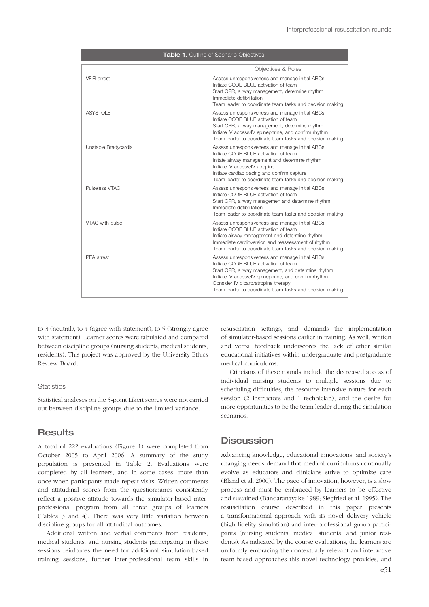| Table 1. Outline of Scenario Objectives. |                                                                                                                                                                                                                                                                                                            |  |  |  |
|------------------------------------------|------------------------------------------------------------------------------------------------------------------------------------------------------------------------------------------------------------------------------------------------------------------------------------------------------------|--|--|--|
|                                          | Objectives & Roles                                                                                                                                                                                                                                                                                         |  |  |  |
| <b>VFIB</b> arrest                       | Assess unresponsiveness and manage initial ABCs<br>Initiate CODE BLUE activation of team<br>Start CPR, airway management, determine rhythm<br>Immediate defibrillation<br>Team leader to coordinate team tasks and decision making                                                                         |  |  |  |
| <b>ASYSTOLE</b>                          | Assess unresponsiveness and manage initial ABCs<br>Initiate CODE BLUE activation of team<br>Start CPR, airway management, determine rhythm<br>Initiate IV access/IV epinephrine, and confirm rhythm<br>Team leader to coordinate team tasks and decision making                                            |  |  |  |
| Unstable Bradycardia                     | Assess unresponsiveness and manage initial ABCs<br>Initiate CODE BLUE activation of team<br>Initate airway management and determine rhythm<br>Initiate IV access/IV atropine<br>Initiate cardiac pacing and confirm capture<br>Team leader to coordinate team tasks and decision making                    |  |  |  |
| Pulseless VTAC                           | Assess unresponsiveness and manage initial ABCs<br>Initiate CODE BLUE activation of team<br>Start CPR, airway managemen and determine rhythm<br>Immediate defibrillation<br>Team leader to coordinate team tasks and decision making                                                                       |  |  |  |
| VTAC with pulse                          | Assess unresponsiveness and manage initial ABCs<br>Initiate CODE BLUE activation of team<br>Initiate airway management and determine rhythm<br>Immediate cardioversion and reassessment of rhythm<br>Team leader to coordinate team tasks and decision making                                              |  |  |  |
| PEA arrest                               | Assess unresponsiveness and manage initial ABCs<br>Initiate CODE BLUE activation of team<br>Start CPR, airway management, and determine rhythm<br>Initiate IV access/IV epinephrine, and confirm rhythm<br>Consider IV bicarb/atropine therapy<br>Team leader to coordinate team tasks and decision making |  |  |  |

to 3 (neutral), to 4 (agree with statement), to 5 (strongly agree with statement). Learner scores were tabulated and compared between discipline groups (nursing students, medical students, residents). This project was approved by the University Ethics Review Board.

#### **Statistics**

Statistical analyses on the 5-point Likert scores were not carried out between discipline groups due to the limited variance.

### **Results**

A total of 222 evaluations (Figure 1) were completed from October 2005 to April 2006. A summary of the study population is presented in Table 2. Evaluations were completed by all learners, and in some cases, more than once when participants made repeat visits. Written comments and attitudinal scores from the questionnaires consistently reflect a positive attitude towards the simulator-based interprofessional program from all three groups of learners (Tables 3 and 4). There was very little variation between discipline groups for all attitudinal outcomes.

Additional written and verbal comments from residents, medical students, and nursing students participating in these sessions reinforces the need for additional simulation-based training sessions, further inter-professional team skills in resuscitation settings, and demands the implementation of simulator-based sessions earlier in training. As well, written and verbal feedback underscores the lack of other similar educational initiatives within undergraduate and postgraduate medical curriculums.

Criticisms of these rounds include the decreased access of individual nursing students to multiple sessions due to scheduling difficulties, the resource-intensive nature for each session (2 instructors and 1 technician), and the desire for more opportunities to be the team leader during the simulation scenarios.

## **Discussion**

Advancing knowledge, educational innovations, and society's changing needs demand that medical curriculums continually evolve as educators and clinicians strive to optimize care (Bland et al. 2000). The pace of innovation, however, is a slow process and must be embraced by learners to be effective and sustained (Bandaranayake 1989; Siegfried et al. 1995). The resuscitation course described in this paper presents a transformational approach with its novel delivery vehicle (high fidelity simulation) and inter-professional group participants (nursing students, medical students, and junior residents). As indicated by the course evaluations, the learners are uniformly embracing the contextually relevant and interactive team-based approaches this novel technology provides, and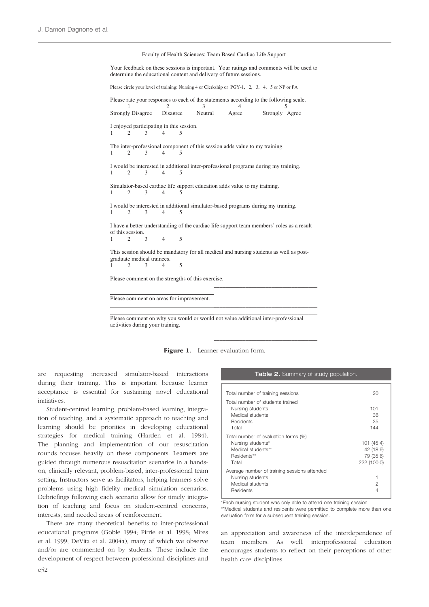Faculty of Health Sciences: Team Based Cardiac Life Support

Your feedback on these sessions is important. Your ratings and comments will be used to determine the educational content and delivery of future sessions.

Please circle your level of training: Nursing 4 or Clerkship or PGY-1, 2, 3, 4, 5 or NP or PA

Please rate your responses to each of the statements according to the following scale.  $1 \t 2 \t 3 \t 4 \t 5$ Strongly Disagree Disagree Neutral Agree Strongly Agree

I enjoyed participating in this session. 1 2 3 4 5

The inter-professional component of this session adds value to my training. 1 2 3 4 5

I would be interested in additional inter-professional programs during my training. 1 2 3 4 5

Simulator-based cardiac life support education adds value to my training.<br> $\frac{1}{2}$   $\frac{3}{4}$   $\frac{4}{5}$ 1 2 3 4 5

I would be interested in additional simulator-based programs during my training. 1 2 3 4 5

I have a better understanding of the cardiac life support team members' roles as a result of this session. 1 2 3 4 5

This session should be mandatory for all medical and nursing students as well as postgraduate medical trainees.  $1 \t2 \t3 \t4$ 

> \_\_\_\_\_\_\_\_\_\_\_\_\_\_\_\_\_\_\_\_\_\_\_\_\_\_\_\_\_\_\_\_\_\_\_\_ \_\_\_\_\_\_\_\_\_\_\_\_\_\_\_\_\_\_\_\_\_\_\_\_\_\_\_\_\_\_\_\_\_\_\_\_

> \_\_\_\_\_\_\_\_\_\_\_\_\_\_\_\_\_\_\_\_\_\_\_\_\_\_\_\_\_\_\_\_\_\_\_\_ \_\_\_\_\_\_\_\_\_\_\_\_\_\_\_\_\_\_\_\_\_\_\_\_\_\_\_\_\_\_\_\_\_\_\_\_

> \_\_\_\_\_\_\_\_\_\_\_\_\_\_\_\_\_\_\_\_\_\_\_\_\_\_\_\_\_\_\_\_\_\_\_\_ \_\_\_\_\_\_\_\_\_\_\_\_\_\_\_\_\_\_\_\_\_\_\_\_\_\_\_\_\_\_\_\_\_\_\_\_

> > Medical students

Please comment on the strengths of this exercise.

Please comment on areas for improvement.

Please comment on why you would or would not value additional inter-professional activities during your training.

Figure 1. Learner evaluation form.

are requesting increased simulator-based interactions during their training. This is important because learner acceptance is essential for sustaining novel educational initiatives.

Student-centred learning, problem-based learning, integration of teaching, and a systematic approach to teaching and learning should be priorities in developing educational strategies for medical training (Harden et al. 1984). The planning and implementation of our resuscitation rounds focuses heavily on these components. Learners are guided through numerous resuscitation scenarios in a handson, clinically relevant, problem-based, inter-professional team setting. Instructors serve as facilitators, helping learners solve problems using high fidelity medical simulation scenarios. Debriefings following each scenario allow for timely integration of teaching and focus on student-centred concerns, interests, and needed areas of reinforcement.

There are many theoretical benefits to inter-professional educational programs (Goble 1994; Pirrie et al. 1998; Mires et al. 1999; DeVita et al. 2004a), many of which we observe and/or are commented on by students. These include the development of respect between professional disciplines and

#### Total number of training sessions 20 Total number of students trained Nursing students 101<br>Medical students 101<br>36 Medical students 36<br>Residents 36<br>25 **Residents** Total 144 Total number of evaluation forms (%) Nursing students\* 101 (45.4)<br>Medical students\*\* 12 (18.9) Medical students\*\* Residents\*\* 79 (35.6) Total 222 (100.0) Average number of training sessions attended

Table 2. Summary of study population.

\*Each nursing student was only able to attend one training session.

\*\*Medical students and residents were permitted to complete more than one evaluation form for a subsequent training session.

Nursing students 1<br>
Medical students 2

Residents 4

an appreciation and awareness of the interdependence of team members. As well, interprofessional education encourages students to reflect on their perceptions of other health care disciplines.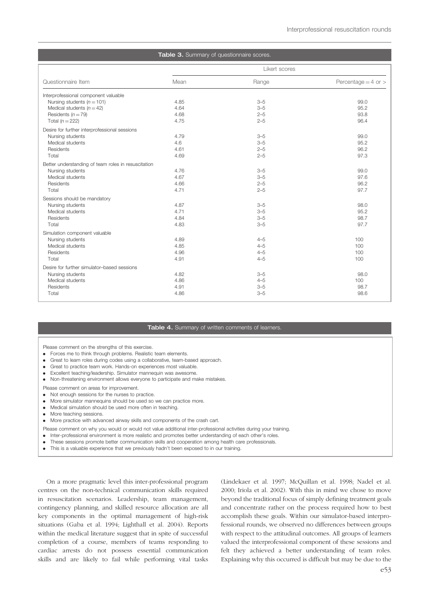| Table 3. Summary of questionnaire scores.           |      |               |                         |  |  |  |
|-----------------------------------------------------|------|---------------|-------------------------|--|--|--|
|                                                     |      | Likert scores |                         |  |  |  |
| Questionnaire Item                                  | Mean | Range         | Percentage $=$ 4 or $>$ |  |  |  |
| Interprofessional component valuable                |      |               |                         |  |  |  |
| Nursing students ( $n = 101$ )                      | 4.85 | $3 - 5$       | 99.0                    |  |  |  |
| Medical students $(n = 42)$                         | 4.64 | $3 - 5$       | 95.2                    |  |  |  |
| Residents ( $n = 79$ )                              | 4.68 | $2 - 5$       | 93.8                    |  |  |  |
| Total $(n=222)$                                     | 4.75 | $2 - 5$       | 96.4                    |  |  |  |
| Desire for further interprofessional sessions       |      |               |                         |  |  |  |
| Nursing students                                    | 4.79 | $3 - 5$       | 99.0                    |  |  |  |
| Medical students                                    | 4.6  | $3 - 5$       | 95.2                    |  |  |  |
| Residents                                           | 4.61 | $2 - 5$       | 96.2                    |  |  |  |
| Total                                               | 4.69 | $2 - 5$       | 97.3                    |  |  |  |
| Better understanding of team roles in resuscitation |      |               |                         |  |  |  |
| Nursing students                                    | 4.76 | $3 - 5$       | 99.0                    |  |  |  |
| Medical students                                    | 4.67 | $3 - 5$       | 97.6                    |  |  |  |
| Residents                                           | 4.66 | $2 - 5$       | 96.2                    |  |  |  |
| Total                                               | 4.71 | $2 - 5$       | 97.7                    |  |  |  |
| Sessions should be mandatory                        |      |               |                         |  |  |  |
| Nursing students                                    | 4.87 | $3 - 5$       | 98.0                    |  |  |  |
| Medical students                                    | 4.71 | $3 - 5$       | 95.2                    |  |  |  |
| Residents                                           | 4.84 | $3 - 5$       | 98.7                    |  |  |  |
| Total                                               | 4.83 | $3 - 5$       | 97.7                    |  |  |  |
| Simulation component valuable                       |      |               |                         |  |  |  |
| Nursing students                                    | 4.89 | $4 - 5$       | 100                     |  |  |  |
| Medical students                                    | 4.85 | $4 - 5$       | 100                     |  |  |  |
| Residents                                           | 4.96 | $4 - 5$       | 100                     |  |  |  |
| Total                                               | 4.91 | $4 - 5$       | 100                     |  |  |  |
| Desire for further simulator-based sessions         |      |               |                         |  |  |  |
| Nursing students                                    | 4.82 | $3 - 5$       | 98.0                    |  |  |  |
| Medical students                                    | 4.86 | $4 - 5$       | 100                     |  |  |  |
| Residents                                           | 4.91 | $3 - 5$       | 98.7                    |  |  |  |
| Total                                               | 4.86 | $3 - 5$       | 98.6                    |  |  |  |
|                                                     |      |               |                         |  |  |  |

#### Table 4. Summary of written comments of learners.

Please comment on the strengths of this exercise.

- . Forces me to think through problems. Realistic team elements.
- . Great to learn roles during codes using a collaborative, team-based approach.
- . Great to practice team work. Hands-on experiences most valuable.
- . Excellent teaching/leadership. Simulator mannequin was awesome.
- . Non-threatening environment allows everyone to participate and make mistakes.
- Please comment on areas for improvement.
- . Not enough sessions for the nurses to practice.
- . More simulator mannequins should be used so we can practice more.
- . Medical simulation should be used more often in teaching.
- . More teaching sessions.

. More practice with advanced airway skills and components of the crash cart.

Please comment on why you would or would not value additional inter-professional activities during your training.

. Inter-professional environment is more realistic and promotes better understanding of each other's roles.

. These sessions promote better communication skills and cooperation among health care professionals.

. This is a valuable experience that we previously hadn't been exposed to in our training.

On a more pragmatic level this inter-professional program centres on the non-technical communication skills required in resuscitation scenarios. Leadership, team management, contingency planning, and skilled resource allocation are all key components in the optimal management of high-risk situations (Gaba et al. 1994; Lighthall et al. 2004). Reports within the medical literature suggest that in spite of successful completion of a course, members of teams responding to cardiac arrests do not possess essential communication skills and are likely to fail while performing vital tasks (Lindekaer et al. 1997; McQuillan et al. 1998; Nadel et al. 2000; Iriola et al. 2002). With this in mind we chose to move beyond the traditional focus of simply defining treatment goals and concentrate rather on the process required how to best accomplish these goals. Within our simulator-based interprofessional rounds, we observed no differences between groups with respect to the attitudinal outcomes. All groups of learners valued the interprofessional component of these sessions and felt they achieved a better understanding of team roles. Explaining why this occurred is difficult but may be due to the